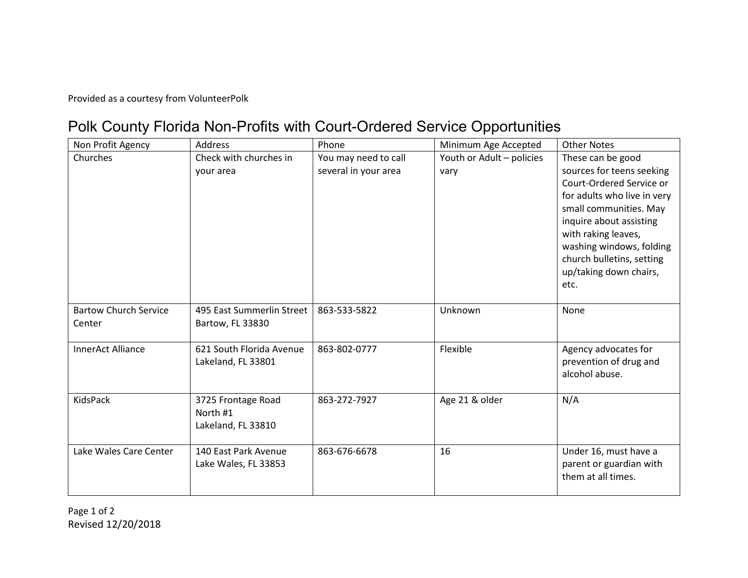Provided as a courtesy from VolunteerPolk

## Polk County Florida Non-Profits with Court-Ordered Service Opportunities

| Non Profit Agency                      | <b>Address</b>                                       | Phone                                        | Minimum Age Accepted              | <b>Other Notes</b>                                                                                                                                                                                                                                                               |
|----------------------------------------|------------------------------------------------------|----------------------------------------------|-----------------------------------|----------------------------------------------------------------------------------------------------------------------------------------------------------------------------------------------------------------------------------------------------------------------------------|
| Churches                               | Check with churches in<br>vour area                  | You may need to call<br>several in your area | Youth or Adult - policies<br>vary | These can be good<br>sources for teens seeking<br>Court-Ordered Service or<br>for adults who live in very<br>small communities. May<br>inquire about assisting<br>with raking leaves,<br>washing windows, folding<br>church bulletins, setting<br>up/taking down chairs,<br>etc. |
| <b>Bartow Church Service</b><br>Center | 495 East Summerlin Street<br>Bartow, FL 33830        | 863-533-5822                                 | Unknown                           | None                                                                                                                                                                                                                                                                             |
| <b>InnerAct Alliance</b>               | 621 South Florida Avenue<br>Lakeland, FL 33801       | 863-802-0777                                 | Flexible                          | Agency advocates for<br>prevention of drug and<br>alcohol abuse.                                                                                                                                                                                                                 |
| <b>KidsPack</b>                        | 3725 Frontage Road<br>North #1<br>Lakeland, FL 33810 | 863-272-7927                                 | Age 21 & older                    | N/A                                                                                                                                                                                                                                                                              |
| Lake Wales Care Center                 | 140 East Park Avenue<br>Lake Wales, FL 33853         | 863-676-6678                                 | 16                                | Under 16, must have a<br>parent or guardian with<br>them at all times.                                                                                                                                                                                                           |

Page 1 of 2 Revised 12/20/2018